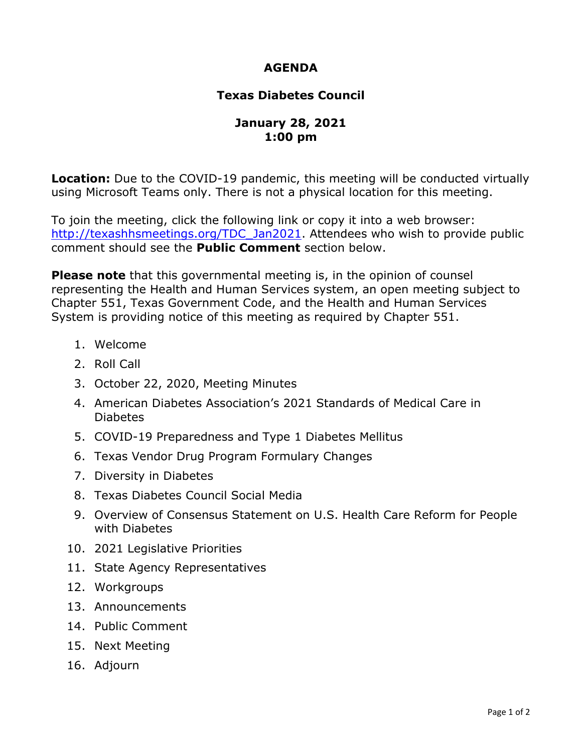## **AGENDA**

## **Texas Diabetes Council**

## **January 28, 2021 1:00 pm**

**Location:** Due to the COVID-19 pandemic, this meeting will be conducted virtually using Microsoft Teams only. There is not a physical location for this meeting.

To join the meeting, click the following link or copy it into a web browser: [http://texashhsmeetings.org/TDC\\_Jan2021.](http://texashhsmeetings.org/TDC_Jan2021) Attendees who wish to provide public comment should see the **Public Comment** section below.

 representing the Health and Human Services system, an open meeting subject to **Please note** that this governmental meeting is, in the opinion of counsel Chapter 551, Texas Government Code, and the Health and Human Services System is providing notice of this meeting as required by Chapter 551.

- 1. Welcome
- 2. Roll Call
- 3. October 22, 2020, Meeting Minutes
- 4. American Diabetes Association's 2021 Standards of Medical Care in Diabetes
- 5. COVID-19 Preparedness and Type 1 Diabetes Mellitus
- 6. Texas Vendor Drug Program Formulary Changes
- 7. Diversity in Diabetes
- 8. Texas Diabetes Council Social Media
- with Diabetes 9. Overview of Consensus Statement on U.S. Health Care Reform for People
- with Diabetes<br>10. 2021 Legislative Priorities
- 11. State Agency Representatives<br>12. Workgroups<br>13. Announcements<br>14. Public Comment
- 12. Workgroups
- 13. Announcements
- 
- 15. Next Meeting
- 16. Adjourn